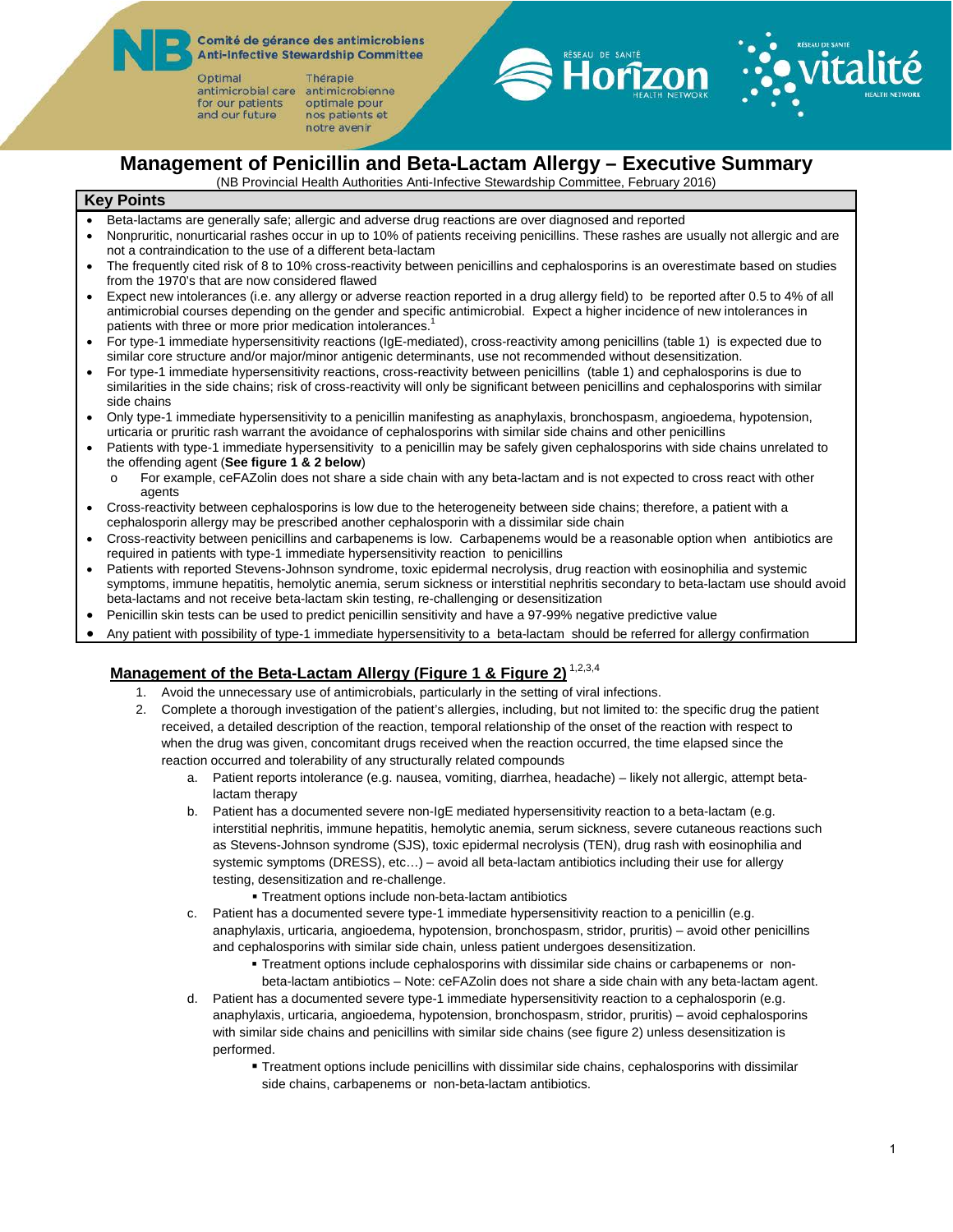Comité de gérance des antimicrobiens **Anti-Infective Stewardship Committee** 

Optimal antimicrobial care antimicrobienne for our patients and our future

Thérapie optimale pour nos patients et notre avenir



## **Management of Penicillin and Beta-Lactam Allergy – Executive Summary**

(NB Provincial Health Authorities Anti-Infective Stewardship Committee, February 2016)

#### **Key Points**

- Beta-lactams are generally safe; allergic and adverse drug reactions are over diagnosed and reported
- Nonpruritic, nonurticarial rashes occur in up to 10% of patients receiving penicillins. These rashes are usually not allergic and are not a contraindication to the use of a different beta-lactam
- The frequently cited risk of 8 to 10% cross-reactivity between penicillins and cephalosporins is an overestimate based on studies from the 1970's that are now considered flawed
- Expect new intolerances (i.e. any allergy or adverse reaction reported in a drug allergy field) to be reported after 0.5 to 4% of all antimicrobial courses depending on the gender and specific antimicrobial. Expect a higher incidence of new intolerances in patients with three or more prior medication intolerances.<sup>1</sup>
- For type-1 immediate hypersensitivity reactions (IgE-mediated), cross-reactivity among penicillins (table 1) is expected due to similar core structure and/or major/minor antigenic determinants, use not recommended without desensitization.
- For type-1 immediate hypersensitivity reactions, cross-reactivity between penicillins (table 1) and cephalosporins is due to similarities in the side chains; risk of cross-reactivity will only be significant between penicillins and cephalosporins with similar side chains
- Only type-1 immediate hypersensitivity to a penicillin manifesting as anaphylaxis, bronchospasm, angioedema, hypotension, urticaria or pruritic rash warrant the avoidance of cephalosporins with similar side chains and other penicillins
- Patients with type-1 immediate hypersensitivity to a penicillin may be safely given cephalosporins with side chains unrelated to the offending agent (**See figure 1 & 2 below**)
	- o For example, ceFAZolin does not share a side chain with any beta-lactam and is not expected to cross react with other agents
- Cross-reactivity between cephalosporins is low due to the heterogeneity between side chains; therefore, a patient with a cephalosporin allergy may be prescribed another cephalosporin with a dissimilar side chain
- Cross-reactivity between penicillins and carbapenems is low. Carbapenems would be a reasonable option when antibiotics are required in patients with type-1 immediate hypersensitivity reaction to penicillins
- Patients with reported Stevens-Johnson syndrome, toxic epidermal necrolysis, drug reaction with eosinophilia and systemic symptoms, immune hepatitis, hemolytic anemia, serum sickness or interstitial nephritis secondary to beta-lactam use should avoid beta-lactams and not receive beta-lactam skin testing, re-challenging or desensitization
- Penicillin skin tests can be used to predict penicillin sensitivity and have a 97-99% negative predictive value
- Any patient with possibility of type-1 immediate hypersensitivity to a beta-lactam should be referred for allergy confirmation

#### **Management of the Beta-Lactam Allergy (Figure 1 & Figure 2)** 1,2,3,4

- 1. Avoid the unnecessary use of antimicrobials, particularly in the setting of viral infections.
- 2. Complete a thorough investigation of the patient's allergies, including, but not limited to: the specific drug the patient received, a detailed description of the reaction, temporal relationship of the onset of the reaction with respect to when the drug was given, concomitant drugs received when the reaction occurred, the time elapsed since the reaction occurred and tolerability of any structurally related compounds
	- a. Patient reports intolerance (e.g. nausea, vomiting, diarrhea, headache) likely not allergic, attempt betalactam therapy
	- b. Patient has a documented severe non-IgE mediated hypersensitivity reaction to a beta-lactam (e.g. interstitial nephritis, immune hepatitis, hemolytic anemia, serum sickness, severe cutaneous reactions such as Stevens-Johnson syndrome (SJS), toxic epidermal necrolysis (TEN), drug rash with eosinophilia and systemic symptoms (DRESS), etc...) – avoid all beta-lactam antibiotics including their use for allergy testing, desensitization and re-challenge.
		- Treatment options include non-beta-lactam antibiotics
	- c. Patient has a documented severe type-1 immediate hypersensitivity reaction to a penicillin (e.g. anaphylaxis, urticaria, angioedema, hypotension, bronchospasm, stridor, pruritis) – avoid other penicillins and cephalosporins with similar side chain, unless patient undergoes desensitization.
		- Treatment options include cephalosporins with dissimilar side chains or carbapenems or nonbeta-lactam antibiotics – Note: ceFAZolin does not share a side chain with any beta-lactam agent.
	- d. Patient has a documented severe type-1 immediate hypersensitivity reaction to a cephalosporin (e.g. anaphylaxis, urticaria, angioedema, hypotension, bronchospasm, stridor, pruritis) – avoid cephalosporins with similar side chains and penicillins with similar side chains (see figure 2) unless desensitization is performed.
		- Treatment options include penicillins with dissimilar side chains, cephalosporins with dissimilar side chains, carbapenems or non-beta-lactam antibiotics.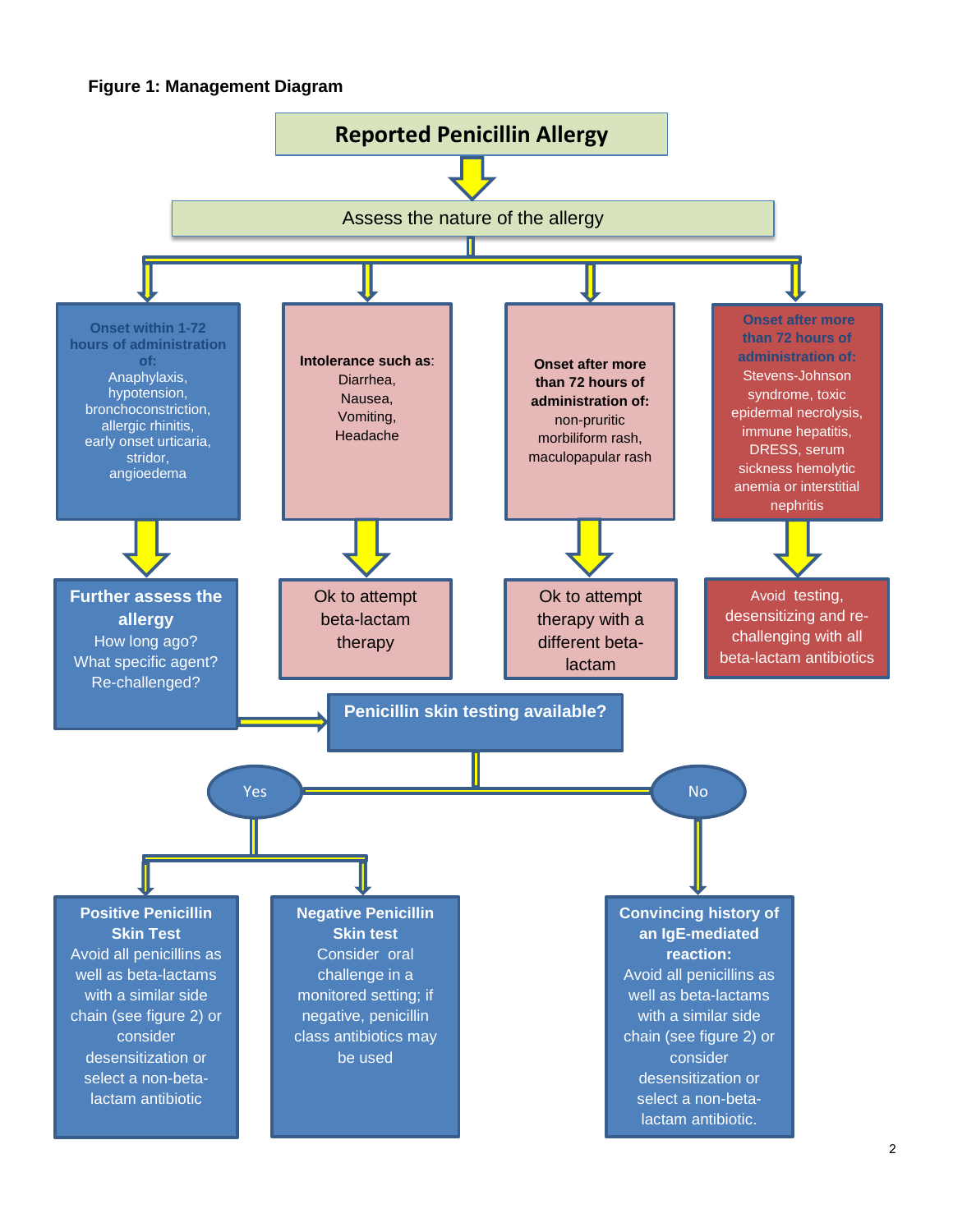

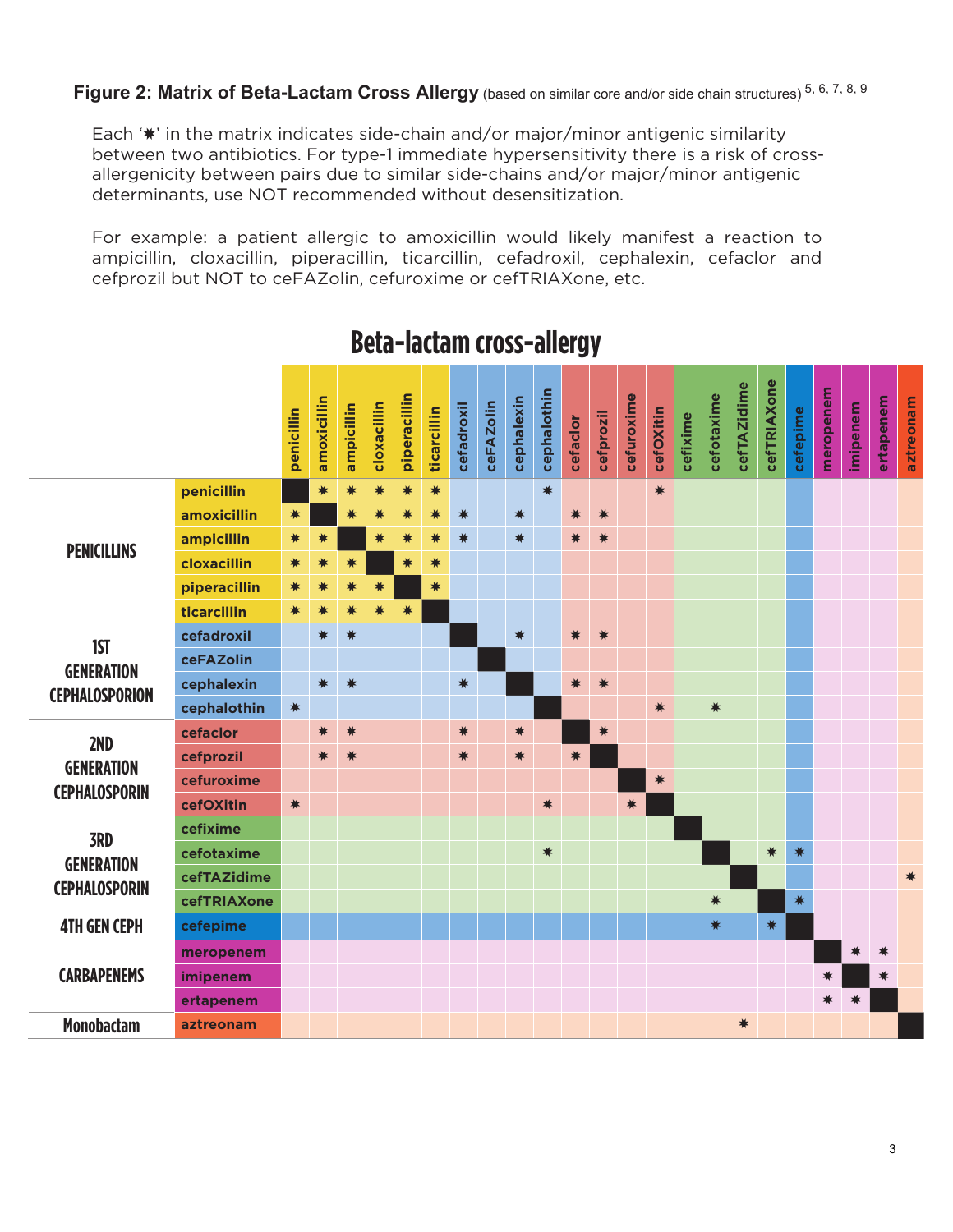Each '\*' in the matrix indicates side-chain and/or major/minor antigenic similarity between two antibiotics. For type-1 immediate hypersensitivity there is a risk of crossallergenicity between pairs due to similar side-chains and/or major/minor antigenic determinants, use NOT recommended without desensitization.

For example: a patient allergic to amoxicillin would likely manifest a reaction to ampicillin, cloxacillin, piperacillin, ticarcillin, cefadroxil, cephalexin, cefaclor and cefprozil but NOT to ceFAZolin, cefuroxime or cefTRIAXone, etc.

|                                                          |              | penicillin | amoxicillin | ampicillin | cloxacillin | piperacillin | ticarcillin | cefadroxil | <b>ceFAZolin</b> | cephalexin | cephalothin | cefaclor | cefprozil | cefuroxime | cefOXitin | cefixime | cefotaxime | cefTAZidime | cefTRIAXone | cefepime | meropenem | imipenem | ertapenem | aztreonam |
|----------------------------------------------------------|--------------|------------|-------------|------------|-------------|--------------|-------------|------------|------------------|------------|-------------|----------|-----------|------------|-----------|----------|------------|-------------|-------------|----------|-----------|----------|-----------|-----------|
| <b>PENICILLINS</b>                                       | penicillin   |            | *           | $\ast$     | *           | *            | $\ast$      |            |                  |            | $\ast$      |          |           |            | $\ast$    |          |            |             |             |          |           |          |           |           |
|                                                          | amoxicillin  | $\ast$     |             | *          | ☀           | *            | $\ast$      | $\ast$     |                  | $\ast$     |             | ☀        | $\ast$    |            |           |          |            |             |             |          |           |          |           |           |
|                                                          | ampicillin   | ☀          |             |            | ☀           | ☀            | ☀           | *          |                  | $\ast$     |             | ☀        | *         |            |           |          |            |             |             |          |           |          |           |           |
|                                                          | cloxacillin  | ☀          |             | ∗          |             | *            | *           |            |                  |            |             |          |           |            |           |          |            |             |             |          |           |          |           |           |
|                                                          | piperacillin | ☀          |             | ☀          | *           |              | *           |            |                  |            |             |          |           |            |           |          |            |             |             |          |           |          |           |           |
|                                                          | ticarcillin  | ☀          | ☀           | ☀          | ☀           | ☀            |             |            |                  |            |             |          |           |            |           |          |            |             |             |          |           |          |           |           |
| <b>IST</b><br><b>GENERATION</b><br><b>CEPHALOSPORION</b> | cefadroxil   |            | *           | *          |             |              |             |            |                  | $\ast$     |             | $*$      | $\ast$    |            |           |          |            |             |             |          |           |          |           |           |
|                                                          | ceFAZolin    |            |             |            |             |              |             |            |                  |            |             |          |           |            |           |          |            |             |             |          |           |          |           |           |
|                                                          | cephalexin   |            | $\ast$      | $\ast$     |             |              |             | $\ast$     |                  |            |             | *        | $\ast$    |            |           |          |            |             |             |          |           |          |           |           |
|                                                          | cephalothin  | $\ast$     |             |            |             |              |             |            |                  |            |             |          |           |            | *         |          | *          |             |             |          |           |          |           |           |
| 2ND                                                      | cefaclor     |            | ☀           | $\ast$     |             |              |             | *          |                  | $\ast$     |             |          | $\ast$    |            |           |          |            |             |             |          |           |          |           |           |
|                                                          | cefprozil    |            | *           | *          |             |              |             | $\ast$     |                  | $\ast$     |             | $\ast$   |           |            |           |          |            |             |             |          |           |          |           |           |
| <b>GENERATION</b><br><b>CEPHALOSPORIN</b>                | cefuroxime   |            |             |            |             |              |             |            |                  |            |             |          |           |            | $\ast$    |          |            |             |             |          |           |          |           |           |
|                                                          | cefOXitin    | $\ast$     |             |            |             |              |             |            |                  |            | *           |          |           | $\ast$     |           |          |            |             |             |          |           |          |           |           |
| <b>3RD</b><br><b>GENERATION</b><br><b>CEPHALOSPORIN</b>  | cefixime     |            |             |            |             |              |             |            |                  |            |             |          |           |            |           |          |            |             |             |          |           |          |           |           |
|                                                          | cefotaxime   |            |             |            |             |              |             |            |                  |            | $\ast$      |          |           |            |           |          |            |             | $*$         | ☀        |           |          |           |           |
|                                                          | cefTAZidime  |            |             |            |             |              |             |            |                  |            |             |          |           |            |           |          |            |             |             |          |           |          |           | *         |
|                                                          | cefTRIAXone  |            |             |            |             |              |             |            |                  |            |             |          |           |            |           |          | $\ast$     |             |             | ☀        |           |          |           |           |
| <b>4TH GEN CEPH</b>                                      | cefepime     |            |             |            |             |              |             |            |                  |            |             |          |           |            |           |          | $\ast$     |             | $\ast$      |          |           |          |           |           |
| <b>CARBAPENEMS</b>                                       | meropenem    |            |             |            |             |              |             |            |                  |            |             |          |           |            |           |          |            |             |             |          |           |          | ☀         |           |
|                                                          | imipenem     |            |             |            |             |              |             |            |                  |            |             |          |           |            |           |          |            |             |             |          |           |          |           |           |
|                                                          | ertapenem    |            |             |            |             |              |             |            |                  |            |             |          |           |            |           |          |            |             |             |          | ☀         |          |           |           |
| <b>Monobactam</b>                                        | aztreonam    |            |             |            |             |              |             |            |                  |            |             |          |           |            |           |          |            | *           |             |          |           |          |           |           |

# **Beta-lactam cross-allergy**